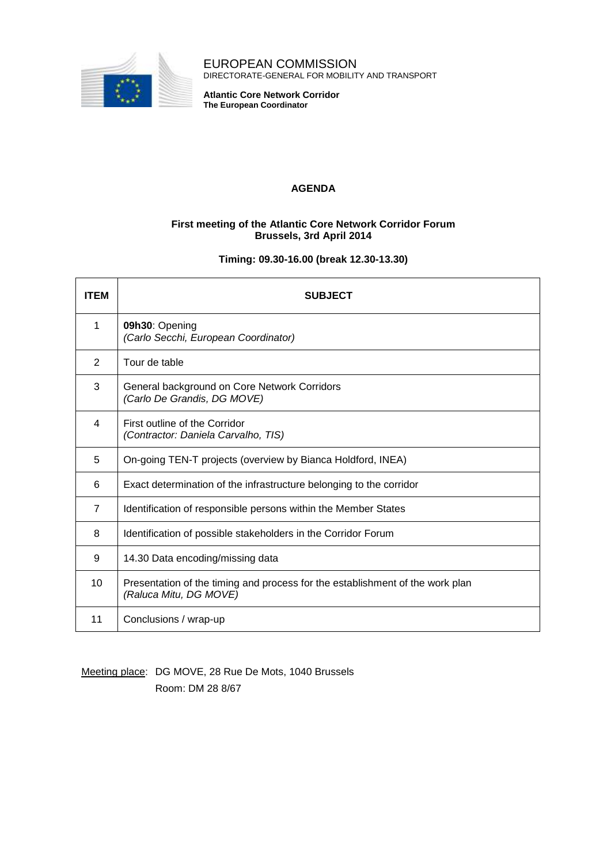

EUROPEAN COMMISSION DIRECTORATE-GENERAL FOR MOBILITY AND TRANSPORT

**Atlantic Core Network Corridor The European Coordinator**

## **AGENDA**

## **First meeting of the Atlantic Core Network Corridor Forum Brussels, 3rd April 2014**

**Timing: 09.30-16.00 (break 12.30-13.30)**

| <b>ITEM</b>    | <b>SUBJECT</b>                                                                                          |
|----------------|---------------------------------------------------------------------------------------------------------|
| 1              | 09h30: Opening<br>(Carlo Secchi, European Coordinator)                                                  |
| 2              | Tour de table                                                                                           |
| 3              | General background on Core Network Corridors<br>(Carlo De Grandis, DG MOVE)                             |
| 4              | First outline of the Corridor<br>(Contractor: Daniela Carvalho, TIS)                                    |
| 5              | On-going TEN-T projects (overview by Bianca Holdford, INEA)                                             |
| 6              | Exact determination of the infrastructure belonging to the corridor                                     |
| $\overline{7}$ | Identification of responsible persons within the Member States                                          |
| 8              | Identification of possible stakeholders in the Corridor Forum                                           |
| 9              | 14.30 Data encoding/missing data                                                                        |
| 10             | Presentation of the timing and process for the establishment of the work plan<br>(Raluca Mitu, DG MOVE) |
| 11             | Conclusions / wrap-up                                                                                   |

Meeting place: DG MOVE, 28 Rue De Mots, 1040 Brussels Room: DM 28 8/67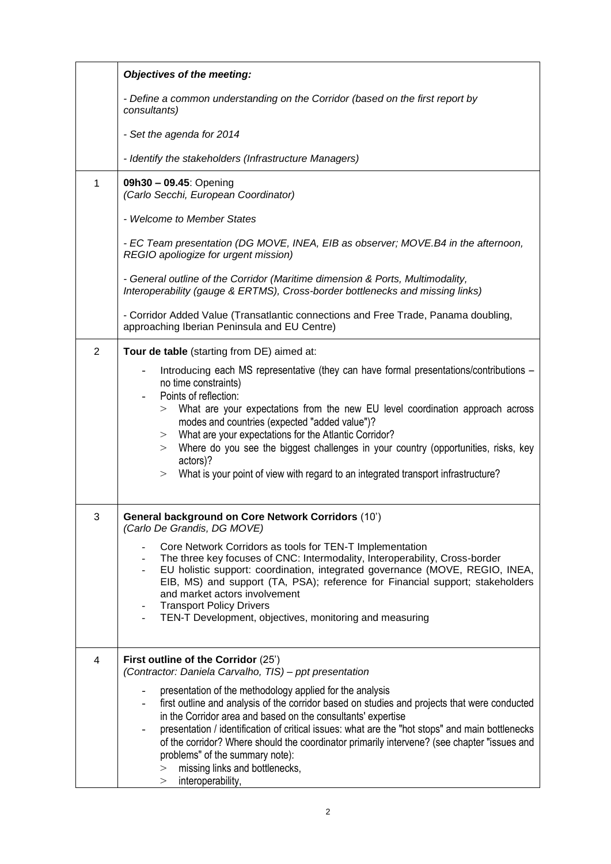|                | <b>Objectives of the meeting:</b>                                                                                                                                                                                                                                                                                                                                                                                                                                                                                                             |
|----------------|-----------------------------------------------------------------------------------------------------------------------------------------------------------------------------------------------------------------------------------------------------------------------------------------------------------------------------------------------------------------------------------------------------------------------------------------------------------------------------------------------------------------------------------------------|
|                | - Define a common understanding on the Corridor (based on the first report by<br>consultants)                                                                                                                                                                                                                                                                                                                                                                                                                                                 |
|                | - Set the agenda for 2014                                                                                                                                                                                                                                                                                                                                                                                                                                                                                                                     |
|                | - Identify the stakeholders (Infrastructure Managers)                                                                                                                                                                                                                                                                                                                                                                                                                                                                                         |
| 1              | 09h30 - 09.45: Opening<br>(Carlo Secchi, European Coordinator)                                                                                                                                                                                                                                                                                                                                                                                                                                                                                |
|                | - Welcome to Member States                                                                                                                                                                                                                                                                                                                                                                                                                                                                                                                    |
|                | - EC Team presentation (DG MOVE, INEA, EIB as observer; MOVE.B4 in the afternoon,<br>REGIO apoliogize for urgent mission)                                                                                                                                                                                                                                                                                                                                                                                                                     |
|                | - General outline of the Corridor (Maritime dimension & Ports, Multimodality,<br>Interoperability (gauge & ERTMS), Cross-border bottlenecks and missing links)                                                                                                                                                                                                                                                                                                                                                                                |
|                | - Corridor Added Value (Transatlantic connections and Free Trade, Panama doubling,<br>approaching Iberian Peninsula and EU Centre)                                                                                                                                                                                                                                                                                                                                                                                                            |
| $\overline{2}$ | Tour de table (starting from DE) aimed at:                                                                                                                                                                                                                                                                                                                                                                                                                                                                                                    |
|                | Introducing each MS representative (they can have formal presentations/contributions –<br>no time constraints)<br>Points of reflection:<br>What are your expectations from the new EU level coordination approach across<br>><br>modes and countries (expected "added value")?<br>What are your expectations for the Atlantic Corridor?<br>><br>Where do you see the biggest challenges in your country (opportunities, risks, key<br>><br>actors)?<br>What is your point of view with regard to an integrated transport infrastructure?<br>> |
| 3              | General background on Core Network Corridors (10')<br>(Carlo De Grandis, DG MOVE)                                                                                                                                                                                                                                                                                                                                                                                                                                                             |
|                | Core Network Corridors as tools for TEN-T Implementation<br>The three key focuses of CNC: Intermodality, Interoperability, Cross-border<br>EU holistic support: coordination, integrated governance (MOVE, REGIO, INEA,<br>EIB, MS) and support (TA, PSA); reference for Financial support; stakeholders<br>and market actors involvement<br><b>Transport Policy Drivers</b><br>TEN-T Development, objectives, monitoring and measuring                                                                                                       |
| 4              | First outline of the Corridor (25')<br>(Contractor: Daniela Carvalho, TIS) - ppt presentation                                                                                                                                                                                                                                                                                                                                                                                                                                                 |
|                | presentation of the methodology applied for the analysis<br>first outline and analysis of the corridor based on studies and projects that were conducted<br>in the Corridor area and based on the consultants' expertise<br>presentation / identification of critical issues: what are the "hot stops" and main bottlenecks<br>of the corridor? Where should the coordinator primarily intervene? (see chapter "issues and<br>problems" of the summary note):<br>missing links and bottlenecks,<br>><br>interoperability,<br>>                |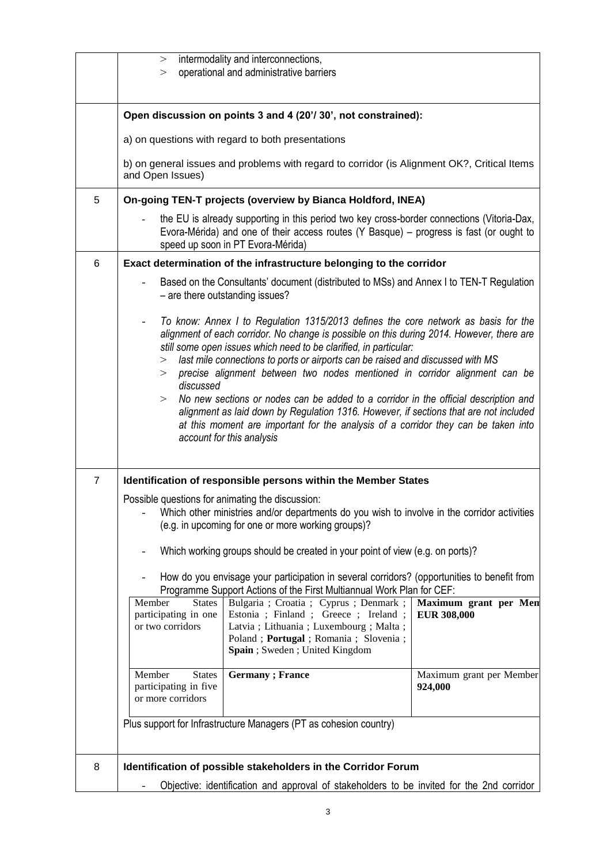|                | intermodality and interconnections,<br>><br>operational and administrative barriers<br>>                                                                                                                                                                                                                                                    |
|----------------|---------------------------------------------------------------------------------------------------------------------------------------------------------------------------------------------------------------------------------------------------------------------------------------------------------------------------------------------|
|                | Open discussion on points 3 and 4 (20'/30', not constrained):                                                                                                                                                                                                                                                                               |
|                | a) on questions with regard to both presentations                                                                                                                                                                                                                                                                                           |
|                | b) on general issues and problems with regard to corridor (is Alignment OK?, Critical Items<br>and Open Issues)                                                                                                                                                                                                                             |
| 5              | On-going TEN-T projects (overview by Bianca Holdford, INEA)                                                                                                                                                                                                                                                                                 |
|                | the EU is already supporting in this period two key cross-border connections (Vitoria-Dax,<br>Evora-Mérida) and one of their access routes (Y Basque) – progress is fast (or ought to<br>speed up soon in PT Evora-Mérida)                                                                                                                  |
| 6              | Exact determination of the infrastructure belonging to the corridor                                                                                                                                                                                                                                                                         |
|                | Based on the Consultants' document (distributed to MSs) and Annex I to TEN-T Regulation<br>- are there outstanding issues?                                                                                                                                                                                                                  |
|                | To know: Annex I to Regulation 1315/2013 defines the core network as basis for the<br>alignment of each corridor. No change is possible on this during 2014. However, there are<br>still some open issues which need to be clarified, in particular:<br>last mile connections to ports or airports can be raised and discussed with MS<br>> |
|                | precise alignment between two nodes mentioned in corridor alignment can be<br>>                                                                                                                                                                                                                                                             |
|                | discussed<br>No new sections or nodes can be added to a corridor in the official description and<br>><br>alignment as laid down by Regulation 1316. However, if sections that are not included<br>at this moment are important for the analysis of a corridor they can be taken into<br>account for this analysis                           |
| $\overline{7}$ | Identification of responsible persons within the Member States                                                                                                                                                                                                                                                                              |
|                | Possible questions for animating the discussion:<br>Which other ministries and/or departments do you wish to involve in the corridor activities<br>(e.g. in upcoming for one or more working groups)?                                                                                                                                       |
|                | Which working groups should be created in your point of view (e.g. on ports)?                                                                                                                                                                                                                                                               |
|                | How do you envisage your participation in several corridors? (opportunities to benefit from<br>Programme Support Actions of the First Multiannual Work Plan for CEF:                                                                                                                                                                        |
|                | Bulgaria; Croatia; Cyprus; Denmark;<br>Maximum grant per Men<br>Member<br><b>States</b><br>Estonia ; Finland ; Greece ; Ireland ;<br><b>EUR 308,000</b><br>participating in one<br>or two corridors<br>Latvia ; Lithuania ; Luxembourg ; Malta ;<br>Poland; Portugal; Romania; Slovenia;<br>Spain ; Sweden ; United Kingdom                 |
|                | Member<br><b>Germany</b> ; France<br>Maximum grant per Member<br><b>States</b><br>participating in five<br>924,000<br>or more corridors                                                                                                                                                                                                     |
|                | Plus support for Infrastructure Managers (PT as cohesion country)                                                                                                                                                                                                                                                                           |
| 8              | Identification of possible stakeholders in the Corridor Forum                                                                                                                                                                                                                                                                               |
|                | Objective: identification and approval of stakeholders to be invited for the 2nd corridor                                                                                                                                                                                                                                                   |